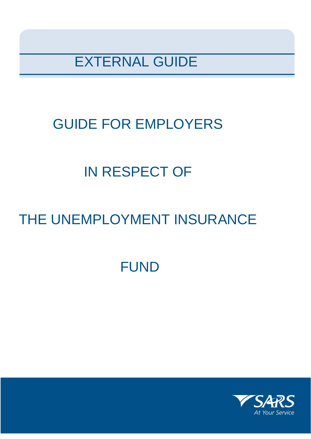EXTERNAL GUIDE

# GUIDE FOR EMPLOYERS

# IN RESPECT OF

# THE UNEMPLOYMENT INSURANCE

# FUND

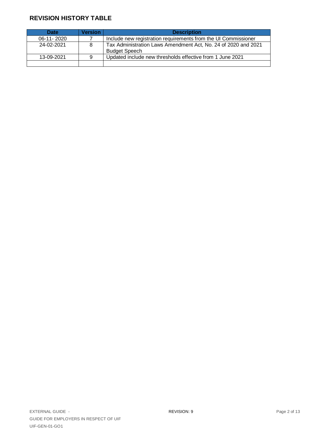# **REVISION HISTORY TABLE**

| <b>Date</b>  | <b>Version</b> | <b>Description</b>                                                                     |
|--------------|----------------|----------------------------------------------------------------------------------------|
| $06-11-2020$ |                | Include new registration requirements from the UI Commissioner                         |
| 24-02-2021   | 8              | Tax Administration Laws Amendment Act, No. 24 of 2020 and 2021<br><b>Budget Speech</b> |
| 13-09-2021   | 9              | Updated include new thresholds effective from 1 June 2021                              |
|              |                |                                                                                        |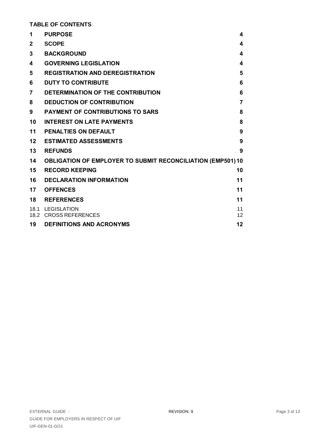**TABLE OF CONTENTS**

| 1            | <b>PURPOSE</b>                                                     | 4                       |
|--------------|--------------------------------------------------------------------|-------------------------|
| $\mathbf{2}$ | <b>SCOPE</b>                                                       | 4                       |
| 3            | <b>BACKGROUND</b>                                                  | 4                       |
| 4            | <b>GOVERNING LEGISLATION</b>                                       | 4                       |
| 5            | <b>REGISTRATION AND DEREGISTRATION</b>                             | 5                       |
| 6            | <b>DUTY TO CONTRIBUTE</b>                                          | 6                       |
| 7            | DETERMINATION OF THE CONTRIBUTION                                  | 6                       |
| 8            | <b>DEDUCTION OF CONTRIBUTION</b>                                   | $\overline{7}$          |
| 9            | <b>PAYMENT OF CONTRIBUTIONS TO SARS</b>                            | 8                       |
| 10           | <b>INTEREST ON LATE PAYMENTS</b>                                   | 8                       |
| 11           | PENALTIES ON DEFAULT                                               | 9                       |
| 12           | <b>ESTIMATED ASSESSMENTS</b>                                       | 9                       |
| 13           | <b>REFUNDS</b>                                                     | 9                       |
| 14           | <b>OBLIGATION OF EMPLOYER TO SUBMIT RECONCILIATION (EMP501) 10</b> |                         |
| 15           | <b>RECORD KEEPING</b>                                              | 10                      |
| 16           | <b>DECLARATION INFORMATION</b>                                     | 11                      |
| 17           | <b>OFFENCES</b>                                                    | 11                      |
| 18           | <b>REFERENCES</b>                                                  | 11                      |
|              | 18.1 LEGISLATION<br>18.2 CROSS REFERENCES                          | 11<br>$12 \overline{ }$ |
| 19           | <b>DEFINITIONS AND ACRONYMS</b>                                    | 12                      |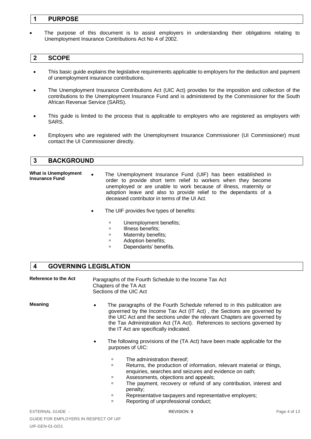### <span id="page-3-0"></span>**1 PURPOSE**

 The purpose of this document is to assist employers in understanding their obligations relating to Unemployment Insurance Contributions Act No 4 of 2002.

#### <span id="page-3-1"></span>**2 SCOPE**

- This basic guide explains the legislative requirements applicable to employers for the deduction and payment of unemployment insurance contributions.
- The Unemployment Insurance Contributions Act (UIC Act) provides for the imposition and collection of the contributions to the Unemployment Insurance Fund and is administered by the Commissioner for the South African Revenue Service (SARS).
- This guide is limited to the process that is applicable to employers who are registered as employers with SARS.
- Employers who are registered with the Unemployment Insurance Commissioner (UI Commissioner) must contact the UI Commissioner directly.

#### <span id="page-3-2"></span>**3 BACKGROUND**

**What is Unemployment Insurance Fund** The Unemployment Insurance Fund (UIF) has been established in order to provide short term relief to workers when they become unemployed or are unable to work because of illness, maternity or adoption leave and also to provide relief to the dependants of a deceased contributor in terms of the UI Act.

- The UIF provides five types of benefits:
	- **u** Unemployment benefits:
	- **Illness benefits;**
	- **D** Maternity benefits;
	- **B** Adoption benefits;
	- **Dependants' benefits.**

### <span id="page-3-3"></span>**4 GOVERNING LEGISLATION**

Reference to the Act Paragraphs of the Fourth Schedule to the Income Tax Act Chapters of the TA Act Sections of the UIC Act

- **Meaning •** The paragraphs of the Fourth Schedule referred to in this publication are governed by the Income Tax Act (IT Act) , the Sections are governed by the UIC Act and the sections under the relevant Chapters are governed by the Tax Administration Act (TA Act). References to sections governed by the IT Act are specifically indicated.
	- The following provisions of the (TA Act) have been made applicable for the purposes of UIC:
		- **The administration thereof;**
		- **Returns, the production of information, relevant material or things,** enquiries, searches and seizures and evidence on oath;
		- **EXECUTE:** Assessments, objections and appeals;
		- The payment, recovery or refund of any contribution, interest and penalty;
		- **EXEPRESENTERY EXECUTE:** Representative taxpayers and representative employers;
		- **EXECUTE:** Reporting of unprofessional conduct: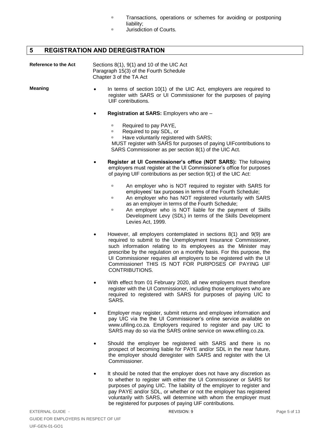- Transactions, operations or schemes for avoiding or postponing liability;
- **D** Jurisdiction of Courts.

# <span id="page-4-0"></span>**5 REGISTRATION AND DEREGISTRATION**

| Reference to the Act | Sections $8(1)$ , $9(1)$ and 10 of the UIC Act<br>Paragraph 15(3) of the Fourth Schedule<br>Chapter 3 of the TA Act |  |
|----------------------|---------------------------------------------------------------------------------------------------------------------|--|
| <b>Meaning</b>       | In terms of section $10(1)$ of the UIC                                                                              |  |

- Act, employers are required to register with SARS or UI Commissioner for the purposes of paying UIF contributions.
- **Registration at SARS:** Employers who are
	- **EXECUTE:** Required to pay PAYE,
	- Required to pay SDL, or
	- **EXECUTE:** Have voluntarily registered with SARS:

 MUST register with SARS for purposes of paying UIFcontributions to SARS Commissioner as per section 8(1) of the UIC Act.

- **Register at UI Commissioner's office (NOT SARS):** The following employers must register at the UI Commissioner's office for purposes of paying UIF contributions as per section 9(1) of the UIC Act:
	- An employer who is NOT required to register with SARS for employees' tax purposes in terms of the Fourth Schedule;
	- <sup>n</sup> An employer who has NOT registered voluntarily with SARS as an employer in terms of the Fourth Schedule;
	- <sup>o</sup> An employer who is NOT liable for the payment of Skills Development Levy (SDL) in terms of the Skills Development Levies Act, 1999.
- However, all employers contemplated in sections 8(1) and 9(9) are required to submit to the Unemployment Insurance Commissioner, such information relating to its employees as the Minister may prescribe by the regulation on a monthly basis. For this purpose, the UI Commissioner requires all employers to be registered with the UI Commissioner! THIS IS NOT FOR PURPOSES OF PAYING UIF CONTRIBUTIONS.
- With effect from 01 February 2020, all new employers must therefore register with the UI Commissioner, including those employers who are required to registered with SARS for purposes of paying UIC to SARS.
- Employer may register, submit returns and employee information and pay UIC via the the UI Commissioner's online service available on www.ufiling.co.za. Employers required to register and pay UIC to SARS may do so via the SARS online service on www.efiling.co.za.
- Should the employer be registered with SARS and there is no prospect of becoming liable for PAYE and/or SDL in the near future, the employer should deregister with SARS and register with the UI Commissioner.
- It should be noted that the employer does not have any discretion as to whether to register with either the UI Commissioner or SARS for purposes of paying UIC. The liability of the employer to register and pay PAYE and/or SDL, or whether or not the employer has registered voluntarily with SARS, will determine with whom the employer must be registered for purposes of paying UIF contributions.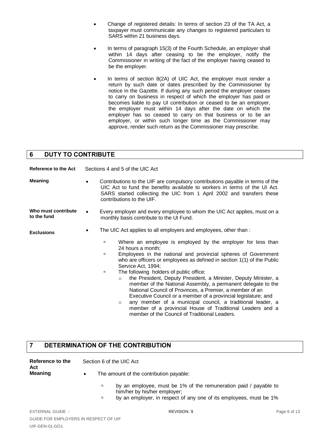- Change of registered details: In terms of section 23 of the TA Act, a taxpayer must communicate any changes to registered particulars to SARS within 21 business days.
- In terms of paragraph 15(3) of the Fourth Schedule, an employer shall within 14 days after ceasing to be the employer, notify the Commissioner in writing of the fact of the employer having ceased to be the employer.
- In terms of section 8(2A) of UIC Act, the employer must render a return by such date or dates prescribed by the Commissioner by notice in the Gazette. If during any such period the employer ceases to carry on business in respect of which the employer has paid or becomes liable to pay UI contribution or ceased to be an employer, the employer must within 14 days after the date on which the employer has so ceased to carry on that business or to be an employer, or within such longer time as the Commissioner may approve, render such return as the Commissioner may prescribe.

### <span id="page-5-0"></span>**6 DUTY TO CONTRIBUTE**

| Reference to the Act               | Sections 4 and 5 of the UIC Act                                                                                                                                                                                                                                                                                                                                                                                                                                                                                                                                                                                                                                                                                                                                  |  |  |
|------------------------------------|------------------------------------------------------------------------------------------------------------------------------------------------------------------------------------------------------------------------------------------------------------------------------------------------------------------------------------------------------------------------------------------------------------------------------------------------------------------------------------------------------------------------------------------------------------------------------------------------------------------------------------------------------------------------------------------------------------------------------------------------------------------|--|--|
| <b>Meaning</b>                     | Contributions to the UIF are compulsory contributions payable in terms of the<br>UIC Act to fund the benefits available to workers in terms of the UI Act.<br>SARS started collecting the UIC from 1 April 2002 and transfers these<br>contributions to the UIF.                                                                                                                                                                                                                                                                                                                                                                                                                                                                                                 |  |  |
| Who must contribute<br>to the fund | Every employer and every employee to whom the UIC Act applies, must on a<br>$\bullet$<br>monthly basis contribute to the UI Fund.                                                                                                                                                                                                                                                                                                                                                                                                                                                                                                                                                                                                                                |  |  |
| <b>Exclusions</b>                  | The UIC Act applies to all employers and employees, other than:<br>$\bullet$<br>Where an employee is employed by the employer for less than<br>$\Box$<br>24 hours a month;<br>Employees in the national and provincial spheres of Government<br>$\Box$<br>who are officers or employees as defined in section 1(1) of the Public<br>Service Act, 1994;<br>The following holders of public office:<br>$\Box$<br>the President, Deputy President, a Minister, Deputy Minister, a<br>$\circ$<br>member of the National Assembly, a permanent delegate to the<br>National Council of Provinces, a Premier, a member of an<br>Executive Council or a member of a provincial legislature; and<br>any member of a municipal council, a traditional leader, a<br>$\circ$ |  |  |
|                                    | member of a provincial House of Traditional Leaders and a<br>member of the Council of Traditional Leaders.                                                                                                                                                                                                                                                                                                                                                                                                                                                                                                                                                                                                                                                       |  |  |

# <span id="page-5-1"></span>**7 DETERMINATION OF THE CONTRIBUTION**

| Reference to the<br>Act | Section 6 of the UIC Act                |  |
|-------------------------|-----------------------------------------|--|
| Meaning                 | The amount of the contribution payable: |  |

- by an employee, must be 1% of the remuneration paid / payable to him/her by his/her employer;
- by an employer, in respect of any one of its employees, must be 1%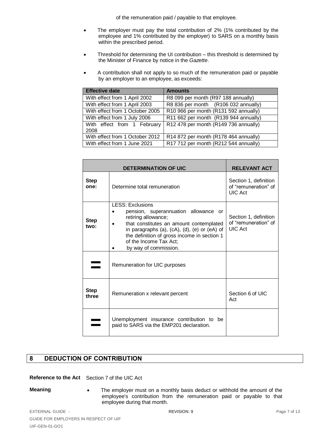of the remuneration paid / payable to that employee.

- The employer must pay the total contribution of 2% (1% contributed by the employee and 1% contributed by the employer) to SARS on a monthly basis within the prescribed period.
- Threshold for determining the UI contribution this threshold is determined by the Minister of Finance by notice in the *Gazette*.
- A contribution shall not apply to so much of the remuneration paid or payable by an employer to an employee, as exceeds:

| <b>Effective date</b>           | <b>Amounts</b>                        |
|---------------------------------|---------------------------------------|
| With effect from 1 April 2002   | R8 099 per month (R97 188 annually)   |
| With effect from 1 April 2003   | R8 836 per month (R106 032 annually)  |
| With effect from 1 October 2005 | R10 966 per month (R131 592 annually) |
| With effect from 1 July 2006    | R11 662 per month (R139 944 annually) |
| With effect from 1 February     | R12 478 per month (R149 736 annually) |
| 2008                            |                                       |
| With effect from 1 October 2012 | R14 872 per month (R178 464 annually) |
| With effect from 1 June 2021    | R17 712 per month (R212 544 annually) |

|                      | <b>DETERMINATION OF UIC</b>                                                                                                                                                                                                                                                                   | <b>RELEVANT ACT</b>                                             |
|----------------------|-----------------------------------------------------------------------------------------------------------------------------------------------------------------------------------------------------------------------------------------------------------------------------------------------|-----------------------------------------------------------------|
| <b>Step</b><br>one:  | Determine total remuneration                                                                                                                                                                                                                                                                  | Section 1, definition<br>of "remuneration" of<br><b>UIC Act</b> |
| <b>Step</b><br>two:  | <b>LESS: Exclusions</b><br>pension, superannuation allowance or<br>retiring allowance;<br>that constitutes an amount contemplated<br>in paragraphs (a), $(cA)$ , $(d)$ , $(e)$ or $(eA)$ of<br>the definition of gross income in section 1<br>of the Income Tax Act;<br>by way of commission. | Section 1, definition<br>of "remuneration" of<br><b>UIC Act</b> |
|                      | Remuneration for UIC purposes                                                                                                                                                                                                                                                                 |                                                                 |
| <b>Step</b><br>three | Remuneration x relevant percent                                                                                                                                                                                                                                                               | Section 6 of UIC<br>Act                                         |
|                      | Unemployment insurance contribution to be<br>paid to SARS via the EMP201 declaration.                                                                                                                                                                                                         |                                                                 |

# <span id="page-6-0"></span>**8 DEDUCTION OF CONTRIBUTION**

#### **Reference to the Act** Section 7 of the UIC Act

**Meaning** • The employer must on a monthly basis deduct or withhold the amount of the employee's contribution from the remuneration paid or payable to that employee during that month.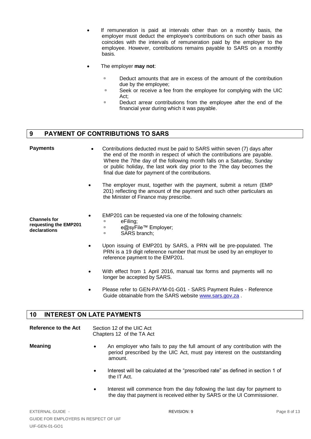- If remuneration is paid at intervals other than on a monthly basis, the employer must deduct the employee's contributions on such other basis as coincides with the intervals of remuneration paid by the employer to the employee. However, contributions remains payable to SARS on a monthly basis.
- The employer **may not**:
	- □ Deduct amounts that are in excess of the amount of the contribution due by the employee;
	- □ Seek or receive a fee from the employee for complying with the UIC Act;
	- $\Box$  Deduct arrear contributions from the employee after the end of the financial year during which it was payable.

# <span id="page-7-0"></span>**9 PAYMENT OF CONTRIBUTIONS TO SARS**

| <b>Payments</b>                                              | Contributions deducted must be paid to SARS within seven (7) days after<br>the end of the month in respect of which the contributions are payable.<br>Where the 7the day of the following month falls on a Saturday, Sunday<br>or public holiday, the last work day prior to the 7the day becomes the<br>final due date for payment of the contributions. |
|--------------------------------------------------------------|-----------------------------------------------------------------------------------------------------------------------------------------------------------------------------------------------------------------------------------------------------------------------------------------------------------------------------------------------------------|
|                                                              | The employer must, together with the payment, submit a return (EMP<br>201) reflecting the amount of the payment and such other particulars as<br>the Minister of Finance may prescribe.                                                                                                                                                                   |
| <b>Channels for</b><br>requesting the EMP201<br>declarations | EMP201 can be requested via one of the following channels:<br>eFiling;<br>о<br>e@syFile™ Employer;<br>$\Box$<br>SARS branch;<br>$\Box$                                                                                                                                                                                                                    |
|                                                              | Upon issuing of EMP201 by SARS, a PRN will be pre-populated. The<br>PRN is a 19 digit reference number that must be used by an employer to<br>reference payment to the EMP201.                                                                                                                                                                            |

- With effect from 1 April 2016, manual tax forms and payments will no longer be accepted by SARS.
- Please refer to GEN-PAYM-01-G01 SARS Payment Rules Reference Guide obtainable from the SARS website [www.sars.gov.za](http://www.sars.gov.za/) .

### <span id="page-7-1"></span>**10 INTEREST ON LATE PAYMENTS**

| Reference to the Act | Section 12 of the UIC Act |
|----------------------|---------------------------|
|                      | Chapters 12 of the TA Act |

- **Meaning An employer who fails to pay the full amount of any contribution with the** period prescribed by the UIC Act, must pay interest on the ouststanding amount.
	- Interest will be calculated at the "prescribed rate" as defined in section 1 of the IT Act.
	- Interest will commence from the day following the last day for payment to the day that payment is received either by SARS or the UI Commissioner.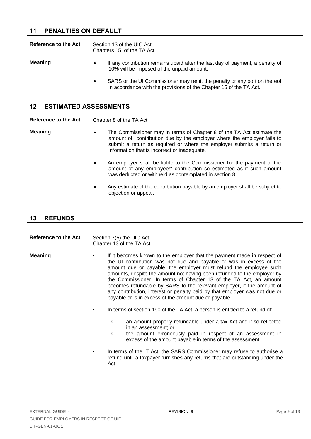# <span id="page-8-0"></span>**11 PENALTIES ON DEFAULT**

| Reference to the Act |           | Section 13 of the UIC Act<br>Chapters 15 of the TA Act                                                                                         |  |
|----------------------|-----------|------------------------------------------------------------------------------------------------------------------------------------------------|--|
| <b>Meaning</b>       | $\bullet$ | If any contribution remains upaid after the last day of payment, a penalty of<br>10% will be imposed of the unpaid amount.                     |  |
|                      | $\bullet$ | SARS or the UI Commissioner may remit the penalty or any portion thereof<br>in accordance with the provisions of the Chapter 15 of the TA Act. |  |

<span id="page-8-1"></span>

| 12 <sup>1</sup><br><b>ESTIMATED ASSESSMENTS</b> |                                                                                                                                                                                                                                                                                       |  |
|-------------------------------------------------|---------------------------------------------------------------------------------------------------------------------------------------------------------------------------------------------------------------------------------------------------------------------------------------|--|
| Reference to the Act                            | Chapter 8 of the TA Act                                                                                                                                                                                                                                                               |  |
| <b>Meaning</b>                                  | The Commissioner may in terms of Chapter 8 of the TA Act estimate the<br>$\bullet$<br>amount of contribution due by the employer where the employer fails to<br>submit a return as required or where the employer submits a return or<br>information that is incorrect or inadequate. |  |
|                                                 | An employer shall be liable to the Commissioner for the payment of the<br>$\bullet$<br>amount of any employees' contribution so estimated as if such amount<br>was deducted or withheld as contemplated in section 8.                                                                 |  |
|                                                 | Any estimate of the contribution payable by an employer shall be subject to<br>$\bullet$<br>objection or appeal.                                                                                                                                                                      |  |

# <span id="page-8-2"></span>**13 REFUNDS**

| Reference to the Act |   | Section 7(5) the UIC Act<br>Chapter 13 of the TA Act                                                                                                                                                                                                                                                                                                                                                                                                                                                                                                                                |  |
|----------------------|---|-------------------------------------------------------------------------------------------------------------------------------------------------------------------------------------------------------------------------------------------------------------------------------------------------------------------------------------------------------------------------------------------------------------------------------------------------------------------------------------------------------------------------------------------------------------------------------------|--|
| <b>Meaning</b>       |   | If it becomes known to the employer that the payment made in respect of<br>the UI contribution was not due and payable or was in excess of the<br>amount due or payable, the employer must refund the employee such<br>amounts, despite the amount not having been refunded to the employer by<br>the Commissioner. In terms of Chapter 13 of the TA Act, an amount<br>becomes refundable by SARS to the relevant employer, if the amount of<br>any contribution, interest or penalty paid by that employer was not due or<br>payable or is in excess of the amount due or payable. |  |
|                      | ٠ | In terms of section 190 of the TA Act, a person is entitled to a refund of:                                                                                                                                                                                                                                                                                                                                                                                                                                                                                                         |  |
|                      |   | an amount properly refundable under a tax Act and if so reflected<br>о<br>in an assessment; or<br>the amount erroneously paid in respect of an assessment in<br>о<br>excess of the amount payable in terms of the assessment.                                                                                                                                                                                                                                                                                                                                                       |  |
|                      |   | In terms of the IT Act, the SARS Commissioner may refuse to authorise a<br>refund until a taxpayer furnishes any returns that are outstanding under the<br>Act.                                                                                                                                                                                                                                                                                                                                                                                                                     |  |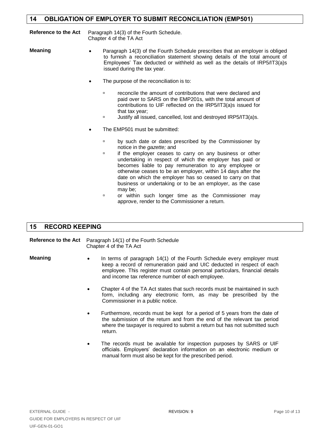# <span id="page-9-0"></span>**14 OBLIGATION OF EMPLOYER TO SUBMIT RECONCILIATION (EMP501)**

**Reference to the Act** Paragraph 14(3) of the Fourth Schedule. Chapter 4 of the TA Act

**Meaning •** Paragraph 14(3) of the Fourth Schedule prescribes that an employer is obliged to furnish a reconciliation statement showing details of the total amount of Employees' Tax deducted or withheld as well as the details of IRP5/IT3(a)s issued during the tax year.

- The purpose of the reconciliation is to:
	- reconcile the amount of contributions that were declared and paid over to SARS on the EMP201s, with the total amount of contributions to UIF reflected on the IRP5/IT3(a)s issued for that tax year;
	- □ Justify all issued, cancelled, lost and destroyed IRP5/IT3(a)s.
- The EMP501 must be submitted:
	- **by such date or dates prescribed by the Commissioner by** notice in the *gazette;* and
	- $\overline{p}$  if the emplover ceases to carry on any business or other undertaking in respect of which the employer has paid or becomes liable to pay remuneration to any employee or otherwise ceases to be an employer, within 14 days after the date on which the employer has so ceased to carry on that business or undertaking or to be an employer, as the case may be;
	- **p** or within such longer time as the Commissioner may approve, render to the Commissioner a return.

### <span id="page-9-1"></span>**15 RECORD KEEPING**

**Reference to the Act** Paragraph 14(1) of the Fourth Schedule Chapter 4 of the TA Act

- **Meaning** In terms of paragraph 14(1) of the Fourth Schedule every employer must keep a record of remuneration paid and UIC deducted in respect of each employee. This register must contain personal particulars, financial details and income tax reference number of each employee.
	- Chapter 4 of the TA Act states that such records must be maintained in such form, including any electronic form, as may be prescribed by the Commissioner in a public notice.
	- Furthermore, records must be kept for a period of 5 years from the date of the submission of the return and from the end of the relevant tax period where the taxpayer is required to submit a return but has not submitted such return.
	- The records must be available for inspection purposes by SARS or UIF officials. Employers' declaration information on an electronic medium or manual form must also be kept for the prescribed period.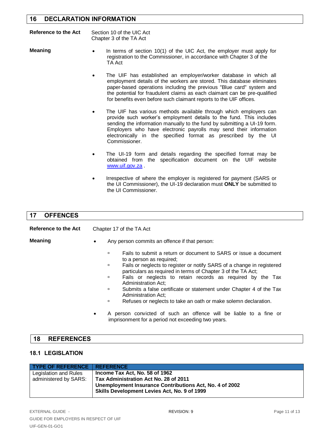# <span id="page-10-0"></span>**16 DECLARATION INFORMATION**

| Reference to the Act | Section 10 of the UIC Act |
|----------------------|---------------------------|
|                      | Chapter 3 of the TA Act   |

- **Meaning** In terms of section 10(1) of the UIC Act, the employer must apply for registration to the Commissioner, in accordance with Chapter 3 of the TA Act
	- The UIF has established an employer/worker database in which all employment details of the workers are stored. This database eliminates paper-based operations including the previous "Blue card" system and the potential for fraudulent claims as each claimant can be pre-qualified for benefits even before such claimant reports to the UIF offices.
	- The UIF has various methods available through which employers can provide such worker's employment details to the fund. This includes sending the information manually to the fund by submitting a UI-19 form. Employers who have electronic payrolls may send their information electronically in the specified format as prescribed by the UI Commissioner.
	- The UI-19 form and details regarding the specified format may be obtained from the specification document on the UIF website [www.uif.gov.za](http://www.uif.gov.za/).
	- Irrespective of where the employer is registered for payment (SARS or the UI Commissioner), the UI-19 declaration must **ONLY** be submitted to the UI Commissioner.

#### <span id="page-10-1"></span>**17 OFFENCES**

| Reference to the Act |           | Chapter 17 of the TA Act                                                                                                                                                                                                                                                                                                                                                                                                                                                                                                                                                                             |
|----------------------|-----------|------------------------------------------------------------------------------------------------------------------------------------------------------------------------------------------------------------------------------------------------------------------------------------------------------------------------------------------------------------------------------------------------------------------------------------------------------------------------------------------------------------------------------------------------------------------------------------------------------|
| <b>Meaning</b>       | ٠         | Any person commits an offence if that person:                                                                                                                                                                                                                                                                                                                                                                                                                                                                                                                                                        |
|                      | $\bullet$ | Fails to submit a return or document to SARS or issue a document<br>$\Box$<br>to a person as required;<br>Fails or neglects to register or notify SARS of a change in registered<br>о<br>particulars as required in terms of Chapter 3 of the TA Act;<br>Fails or neglects to retain records as required by the Tax<br>$\Box$<br>Administration Act:<br>Submits a false certificate or statement under Chapter 4 of the Tax<br>о<br>Administration Act;<br>Refuses or neglects to take an oath or make solemn declaration.<br>о<br>A person convicted of such an offence will be liable to a fine or |

<span id="page-10-2"></span>

|  | $-15$ | <b>DEEEDENCES</b><br><b>REFERENCES</b> |  |  |  |  |
|--|-------|----------------------------------------|--|--|--|--|
|--|-------|----------------------------------------|--|--|--|--|

### <span id="page-10-3"></span>**18.1 LEGISLATION**

| <b>TYPE OF REFERENCE   REFERENCE</b> |                                                         |
|--------------------------------------|---------------------------------------------------------|
| Legislation and Rules                | Income Tax Act, No. 58 of 1962                          |
| administered by SARS:                | Tax Administration Act No. 28 of 2011                   |
|                                      | Unemployment Insurance Contributions Act, No. 4 of 2002 |
|                                      | <b>Skills Development Levies Act, No. 9 of 1999</b>     |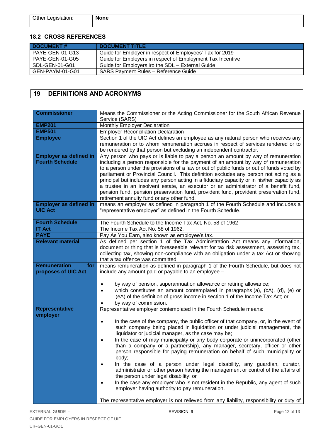| Other Legislation: | <b>None</b> |
|--------------------|-------------|
|                    |             |

#### <span id="page-11-0"></span>**18.2 CROSS REFERENCES**

| <b>DOCUMENT#</b>       | <b>DOCUMENT TITLE</b>                                      |
|------------------------|------------------------------------------------------------|
| PAYE-GEN-01-G13        | Guide for Employer in respect of Employees' Tax for 2019   |
| <b>PAYE-GEN-01-G05</b> | Guide for Employers in respect of Employment Tax Incentive |
| SDL-GEN-01-G01         | Guide for Employers iro the SDL - External Guide           |
| GEN-PAYM-01-G01        | <b>SARS Payment Rules - Reference Guide</b>                |

# <span id="page-11-1"></span>**19 DEFINITIONS AND ACRONYMS**

| <b>Commissioner</b>           | Means the Commissioner or the Acting Commissioner for the South African Revenue<br>Service (SARS)                                                                              |
|-------------------------------|--------------------------------------------------------------------------------------------------------------------------------------------------------------------------------|
| <b>EMP201</b>                 | Monthly Employer Declaration                                                                                                                                                   |
| <b>EMP501</b>                 | <b>Employer Reconciliation Declaration</b>                                                                                                                                     |
| <b>Employee</b>               | Section 1 of the UIC Act defines an employee as any natural person who receives any                                                                                            |
|                               | remuneration or to whom remuneration accrues in respect of services rendered or to                                                                                             |
|                               | be rendered by that person but excluding an independent contractor.                                                                                                            |
| <b>Employer as defined in</b> | Any person who pays or is liable to pay a person an amount by way of remuneration                                                                                              |
| <b>Fourth Schedule</b>        | including a person responsible for the payment of an amount by way of remuneration                                                                                             |
|                               | to a person under the provisions of a law or out of public funds or out of funds voted by                                                                                      |
|                               | parliament or Provincial Council. This definition excludes any person not acting as a                                                                                          |
|                               | principal but includes any person acting in a fiduciary capacity or in his/her capacity as                                                                                     |
|                               | a trustee in an insolvent estate, an executor or an administrator of a benefit fund,<br>pension fund, pension preservation fund, provident fund, provident preservation fund,  |
|                               | retirement annuity fund or any other fund.                                                                                                                                     |
| <b>Employer as defined in</b> | means an employer as defined in paragraph 1 of the Fourth Schedule and includes a                                                                                              |
| <b>UIC Act</b>                | "representative employer" as defined in the Fourth Schedule.                                                                                                                   |
|                               |                                                                                                                                                                                |
| <b>Fourth Schedule</b>        | The Fourth Schedule to the Income Tax Act, No. 58 of 1962                                                                                                                      |
| <b>IT Act</b>                 | The Income Tax Act No. 58 of 1962.                                                                                                                                             |
| <b>PAYE</b>                   | Pay As You Earn, also known as employee's tax.                                                                                                                                 |
| <b>Relevant material</b>      | As defined per section 1 of the Tax Administration Act means any information,                                                                                                  |
|                               | document or thing that is foreseeable relevant for tax risk assessment, assessing tax,                                                                                         |
|                               | collecting tax, showing non-compliance with an obligation under a tax Act or showing<br>that a tax offence was committed                                                       |
| <b>Remuneration</b><br>for    | means remuneration as defined in paragraph 1 of the Fourth Schedule, but does not                                                                                              |
| proposes of UIC Act           | include any amount paid or payable to an employee -                                                                                                                            |
|                               |                                                                                                                                                                                |
|                               | by way of pension, superannuation allowance or retiring allowance;                                                                                                             |
|                               | which constitutes an amount contemplated in paragraphs (a), (cA), (d), (e) or                                                                                                  |
|                               | (eA) of the definition of gross income in section 1 of the Income Tax Act; or                                                                                                  |
|                               | by way of commission.                                                                                                                                                          |
| <b>Representative</b>         | Representative employer contemplated in the Fourth Schedule means:                                                                                                             |
| employer                      |                                                                                                                                                                                |
|                               | In the case of the company, the public officer of that company, or, in the event of<br>$\bullet$<br>such company being placed in liquidation or under judicial management, the |
|                               | liquidator or judicial manager, as the case may be;                                                                                                                            |
|                               | In the case of may municipality or any body corporate or unincorporated (other                                                                                                 |
|                               | than a company or a partnership), any manager, secretary, officer or other                                                                                                     |
|                               | person responsible for paying remuneration on behalf of such municipality or                                                                                                   |
|                               | body;                                                                                                                                                                          |
|                               | In the case of a person under legal disability, any guardian, curator,                                                                                                         |
|                               | administrator or other person having the management or control of the affairs of                                                                                               |
|                               | the person under legal disability; or                                                                                                                                          |
|                               | In the case any employer who is not resident in the Republic, any agent of such                                                                                                |
|                               | employer having authority to pay remuneration.                                                                                                                                 |
|                               | The representative employer is not relieved from any liability, responsibility or duty of                                                                                      |